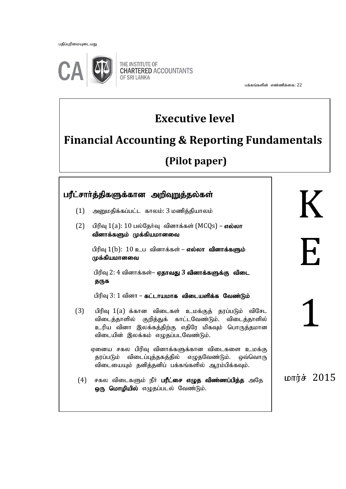பதிப்புரிமையுடையது

ֺ



THE INSTITUTE OF **CHARTERED ACCOUNTANTS OF SRI LANKA** 

பக்கங்களின் எண்ணிக்கை:  $22$ 

# **Executive level**

# **Financial Accounting & Reporting Fundamentals**

# **(Pilot paper)**

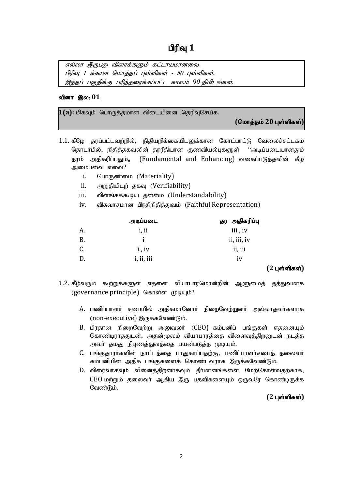எல்லா இருபது வினாக்களும் கட்டாயமானவை. பிரிவு 1 க்கான மொத்தப் புள்ளிகள் - 50 புள்ளிகள். இந்தப் பகுதிக்கு பரிந்தரைக்கப்பட்ட காலம் 90 நிமிடங்கள்.

### <u>வினா இல: 01</u>

1(a): மிகவும் பொருத்தமான விடையினை தெரிவுசெய்க.

 $($ மொத்தம் 20 புள்ளிகள்)

- 1.1. கீழே தரப்பட்டவற்றில், நிதியறிக்கையிடலுக்கான கோட்பாட்டு வேலைச்சட்டகம் தொடர்பில், நிதித்தகவலின் தரரீதியான குணவியல்புகளுள் ''அடிப்படையானதும் தரம் அதிகரிப்பதும்,, (Fundamental and Enhancing) வகைப்படுத்தலின் கீழ் அமைபவை எவை?
	- i. **GUIT(Th**omion (Materiality)
	- ii. அறுதியிடற் தகவு (Verifiability)
	- iii. விளங்கக்கூடிய கன்மை (Understandability)
	- iv. விசுவாசமான பிரதிநிதித்துவம் (Faithful Representation)

|           | அடிப்படை   | தர அதிகரிப்பு |
|-----------|------------|---------------|
| A.        | i, ii      | iii, iv       |
| <b>B.</b> | I.         | ii, iii, iv   |
| C.        | i, iv      | ii, iii       |
| D.        | i, ii, iii | 1V            |

# $(2 \text{ L} \cdot \hat{\text{S}})$

- 1.2. கீழ்வரும் கூற்றுக்களுள் எதனை வியாபாரமொன்றின் ஆளுமைத் தத்துவமாக (governance principle) கொள்ள (родцம்?
	- A. பணிப்பாளர் சபையில் அதிகமானோர் நிறைவேற்றுனர் அல்லாதவர்களாக (non-executive) இருக்கவேண்டும்.
	- $B$ . பிரதான நிறைவேற்று அலுவலர் ( $CEO$ ) கம்பனிப் பங்குகள் எதனையும் கொண்டிராததுடன், அதன்மூலம் வியாபாரத்தை விளைவுத்திறனுடன் நடத்த அவா் தமது நிபுணத்துவத்தை பயன்படுத்த முடியும்.
	- C. பங்குகாரர்களின் நாட்டக்கை பாதுகாப்பகற்கு, பணிப்பாளர்சபைக் கலைவர் கம்பனியின் அதிக பங்குகளைக் கொண்டவராக இருக்கவேண்டும்.
	- D. விரைவாகவும் வினைத்திறனாகவும் தீர்மானங்களை மேற்கொள்வதற்காக,  $CEO$  மற்றும் தலைவர் ஆகிய இரு பகவிகளையும் ஒருவரே கொண்டிருக்க வேண்டும்.

### $(2 \text{ L} \cdot \hat{\text{S}})$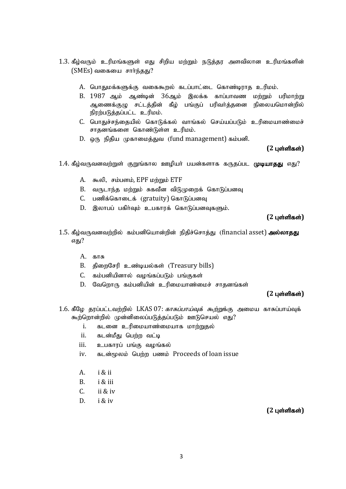- $1.3$ . கீழ்வரும் உரிமங்களுள் எது சிறிய மற்றும் நடுத்தர அளவிலான உரிமங்களின்  $(SMEs)$  வகையை சார்ந்தது?
	- A. பொதுமக்களுக்கு வகைகூறல் கடப்பாட்டை கொண்டிராத உரிமம்.
	- B. 1987 ஆம் ஆண்டின் 36ஆம் இலக்க காப்பாவண மற்றும் பரிமாற்று ஆணைக்குழு சட்டத்தின் கீழ் பங்குப் பரிவர்த்தனை நிலையமொன்றில் நிரற்படுத்தப்பட்ட உரிமம்.
	- C. பொதுச்சந்தையில் கொடுக்கல் வாங்கல் செய்யப்படும் உரிமையாண்மைச் சாதனங்களை கொண்டுள்ள உரிமம்.
	- D. ஒரு நிதிய முகாமைத்துவ (fund management) கம்பனி.

### **(2 புள்ளிகள்)**

- 1.4. கீழ்வருவனவற்றுள் குறுங்கால ஊழியா் பயன்களாக கருதப்பட முடியாதது எது?
	- A. கூலி, சம்பளம், EPF மற்றும் ETF
	- B. வருடாந்த மற்றும் சுகவீன விடுமுறைக் கொடுப்பனவு
	- C. பணிக்கொடைக் (gratuity) கொடுப்பனவு
	- D. இலாபப் பகிர்வம் உபகாாக் கொடுப்பனவகளும்.

 $(2 \text{ L} \cdot \hat{\text{S}})$ 

- 1.5. கீம்வருவனவற்றில் கம்பனியொன்றின் நிகிச்சொக்கு (financial asset) அல்லாகது எகு?
	- $A.$  காசு
	- B. கிறைசேரி உண்டியல்கள் (Treasury bills)
	- C. கம்பனியினால் வழங்கப்படும் பங்குகள்
	- D. வேறொரு கம்பனியின் உரிமையாண்மைச் சாகனங்கள்

## $(2 \text{ L} \cdot \hat{\text{S}})$

- 1.6. கீழே தரப்பட்டவற்றில் LKAS 07: *காசுப்பாய்வுக் கூற்று*க்கு அமைய காசுப்பாய்வுக் கூற்றொன்றில் முன்னிலைப்படுத்தப்படும் ஊடுசெயல் எது?
	- i. கடனை உரிமையாண்மையாக மாற்றுதல்
	- ii. கடன்மீது பெற்ற வட்டி
	- iii. உபகாரப் பங்கு வழங்கல்
	- iv. கடன்மூலம் பெற்ற பணம் Proceeds of loan issue
	- A. i & ii
	- B. i & iii
	- C. ii & iv
	- D. i & iv

 $(2 \text{ L} \text{ or } \text{R} \text{ is } \text{S} \text{)}$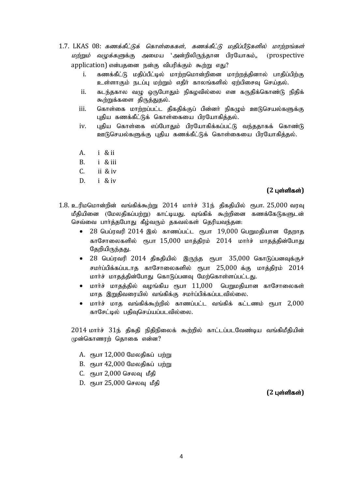- $1.7.$  LKAS  $08:$  கணக்கீட்டுக் கொள்கைகள், கணக்கீட்டு மதிப்பீடுகளில் மாற்றங்கள் *மற்றும் வழுக்களு*க்கு அமைய 'அன்றிலிருந்தான பிரயோகம்., (prospective application) என்பதனை நன்கு விபரிக்கும் கூற்று எது?
	- i. கணக்கீட்டு மதிப்பீட்டில் மாற்றமொன்றினை மாற்றத்தினால் பாதிப்பிற்கு உள்ளாகும் நடப்பு மற்றும் எதிர் காலங்களில் ஏற்பிசைவு செய்தல்.
	- ii. கடந்தகால வழு ஒருபோதும் நிகழவில்லை என கருதிக்கொண்டு நிதிக் கூற்றுக்களை திருத்துதல்.
	- iii. கொள்கை மாற்றப்பட்ட கிககிக்குப் பின்னர் நிகமும் ஊடுசெயல்களுக்கு புதிய கணக்கீட்டுக் கொள்கையை பிரயோகித்தல்.
	- iv. புதிய கொள்கை எப்போதும் பிரயோகிக்கப்பட்டு வந்ததாகக் கொண்டு ஊடுசெயல்களுக்கு புதிய கணக்கீட்டுக் கொள்கையை பிரயோகித்தல்.
	- A. i & ii
	- B. i & iii
	- C. ii & iv
	- D. i & iv

### $(2 \text{ L} \cdot \hat{\text{S}})$

- $1.8.$  உரிமமொன்றின் வங்கிக்கூற்று  $2014$  மார்ச்  $31$ ந் திகதியில் ரூபா.  $25,000$  வரவு மீதியினை (மேலதிகப்பற்று) காட்டியது. வுங்கிக் கூற்றினை கணக்கேடுகளுடன் செவ்வை பார்த்தபோது கீழ்வரும் தகவல்கள் தெரியவந்தன:
	- $\bullet$  28 பெப்ரவரி 2014 இல் காணப்பட்ட ரூபா 19,000 பெறுமதியான தேறாத காசோலைகளில் ரூபா  $15,000$  மாக்கிரம்  $2014$  மார்ச் மாகக்கின்போது தேறியிருந்தது.
	- $\bullet$  28 பெப்ரவரி 2014 திகதியில் இருந்த ரூபா 35,000 கொடுப்பனவுக்குச் சமர்ப்பிக்கப்படாத காசோலைகளில் ரூபா  $25,000$  க்கு மாத்திரம்  $2014$ மார்ச் மாதத்தின்போது கொடுப்பனவு மேற்கொள்ளப்பட்டது.
	- $\bullet$  மார்ச் மாகக்கில் வமங்கிய ரூபா  $11.000$  பெறுமதியான காசோலைகள் மாத இறுதிவரையில் வங்கிக்கு சமா்ப்பிக்கப்படவில்லை.
	- $\bullet$  மார்ச் மாத வங்கிக்கூற்றில் காணப்பட்ட வங்கிக் கட்டணம் ரூபா  $2.000$ காசேட்டில் பதிவுசெய்யப்படவில்லை.

 $2014$  மார்ச்  $31$ ந் திகதி நிதிநிலைக் கூற்றில் காட்டப்படவேண்டிய வங்கிமீதியின் முன்கொணரற் தொகை என்ன?

- $A.$  ரூபா  $12,000$  மேலதிகப் பற்று
- $B.$   $\epsilon$ ҧபா 42,000 மேலதிகப் பற்று
- $C.$  ரூபா  $2,000$  செலவு மீதி
- $D.$  ரூபா  $25,000$  செலவு மீதி

 $(2 \text{ L} \text{sin} \text{f} \text{d} \text{sin} \text{h})$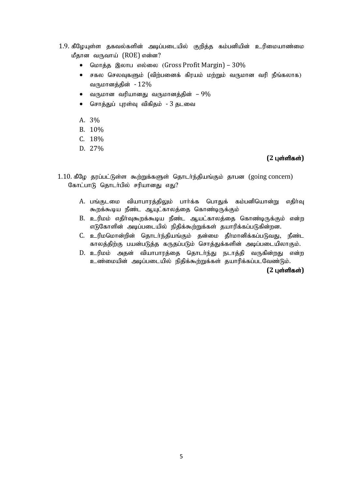- 1.9. கீழேயுள்ள தகவல்களின் அடிப்படையில் குறித்த கம்பனியின் உரிமையாண்மை மீதான வருவாய் (ROE) என்ன?
	- மொத்த இலாப எல்லை (Gross Profit Margin)  $30\%$
	- $\bullet$  சகல செலவுகளும் (விற்பனைக் கிரயம் மற்றும் வருமான வரி நீங்கலாக) வருமானத்தின் -  $12\%$
	- $\bullet$  வருமான வரியானது வருமானக்கின் 9%
	- சொத்துப் புரள்வு விகிதம் 3 தடவை
	- A. 3%
	- B. 10%
	- C. 18%
	- D. 27%

# $(2 \text{ L} \cdot \hat{\text{S}})$

- $1.10.$  கீழே தரப்பட்டுள்ள கூற்றுக்களுள் தொடர்ந்தியங்கும் தாபன (going concern) கோட்பாடு தொடர்பில் சரியானது எது?
	- A. பங்குடமை வியாபாரத்திலும் பார்க்க பொதுக் கம்பனியொன்று எதிர்வு கூறக்கூடிய நீண்ட ஆயுட்காலத்தை கொண்டிருக்கும்
	- B. உரிமம் எதிர்வுகூறக்கூடிய நீண்ட ஆயட்காலத்தை கொண்டிருக்கும் என்ற எடுகோளின் அடிப்படையில் நிதிக்கூற்றுக்கள் தயாரிக்கப்படுகின்றன.
	- C. உரிமமொன்றின் தொடர்ந்தியங்கும் தன்மை தீர்மானிக்கப்படுவது, நீண்ட காலத்திற்கு பயன்படுத்த கருதப்படும் சொத்துக்களின் அடிப்படையிலாகும்.
	- D. உரிமம் அதன் வியாபாரத்தை தொடர்ந்து நடாத்தி வருகின்றது என்ற உண்மையின் அடிப்படையில் நிதிக்கூற்றுக்கள் தயாரிக்கப்படவேண்டும்.

 $(2 \text{ L} \cdot \hat{\text{S}})$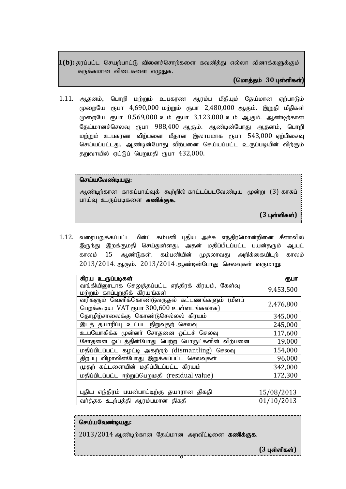1(b): தரப்பட்ட செயற்பாட்டு வினைச்சொற்களை கவனித்து எல்லா வினாக்களுக்கும் சுருக்கமான விடைகளை எழுதுக.

### **(**nkhj;jk; **30** Gs;spfs;**)**

1.11. ஆதனம், பொறி மற்றும் உபகரண ஆரம்ப மீதியும் கேய்மான ஏற்பாடும் முறையே ரூபா 4,690,000 மற்றும் ரூபா 2,480,000 ஆகும். இறுதி மீதிகள் முறையே ரூபா 8,569,000 உம் ரூபா 3,123,000 உம் ஆகும். ஆண்டிற்கான தேய்மானச்செலவு ரூபா 988,400 ஆகும். ஆண்டின்போது ஆதனம், பொறி மற்றும் உபகரண விற்பனை மீதான இலாபமாக ரூபா 543,000 ஏற்பிசைவு செய்யப்பட்டது. ஆண்டின்போது விற்பனை செய்யப்பட்ட உருப்படியின் விற்கும் தறுவாயில் ஏட்டுப் பெறுமதி ரூபா 432,000.

### செய்யவேண்டியது:

ஆண்டிற்கான காசுப்பாய்வுக் கூற்றில் காட்டப்படவேண்டிய மூன்று (3) காசுப் பாய்வு உருப்படிகளை கணிக்குக.

**(3 புள்ளிகள்)** 

1.12. வரையறுக்கப்பட்ட மின்ட் கம்பனி புதிய அச்சு எந்திரமொன்றினை சீனாவில் இருந்து இறக்குமதி செய்துள்ளது. அதன் மதிப்பிடப்பட்ட பயன்தரும் ஆயுட் காலம் 15 ஆண்டுகள். கம்பனியின் முதலாவது அறிக்கையிடற் காலம் 2013/2014. ஆகும். 2013/2014 ஆண்டின்போது செலவுகள் வருமாறு:

| கிரய உருப்படிகள்                                                                            | ரூபா       |
|---------------------------------------------------------------------------------------------|------------|
| வங்கியினூடாக செலுத்தப்பட்ட எந்திரக் கிரயம், கேள்வு<br>மற்றும் காப்புறுதிக் கிரயங்கள்        | 9,453,500  |
| வரிகளும் வெளிக்கொண்டுவருதல் கட்டணங்களும் (மீளப்<br>பெறக்கூடிய VAT ரூபா 300,600 உள்ளடங்கலாக) | 2,476,800  |
| தொழிற்சாலைக்கு கொண்டுசெல்லல் கிரயம்                                                         | 345,000    |
| இடத் தயாரிப்பு உட்பட நிறுவுதற் செலவு                                                        | 245,000    |
| உபயோகிக்க முன்னா் சோதனை ஓட்டச் செலவு                                                        | 117,600    |
| சோதனை ஓட்டத்தின்போது பெற்ற பொருட்களின் விற்பனை                                              | 19,000     |
| மதிப்பிடப்பட்ட கழட்டி அகற்றற் (dismantling) செலவு                                           | 154,000    |
| திறப்பு விழாவின்போது இறுக்கப்பட்ட செலவுகள்                                                  | 96,000     |
| முதற் கட்டளையின் மதிப்பிடப்பட்ட கிரயம்                                                      | 342,000    |
| மதிப்பிடப்பட்ட ஈற்றுப்பெறுமதி (residual value)                                              | 172,300    |
|                                                                                             |            |
| புதிய எந்திரம் பயன்பாட்டிற்கு தயாரான திகதி                                                  | 15/08/2013 |
| வா்த்தக உற்பத்தி ஆரம்பமான திகதி                                                             | 01/10/2013 |

### செய்யவேண்டியது:

 $2013/2014$  ஆண்டிற்கான தேய்மான அறவீட்டினை கணிக்குக.

6

 $(3 \text{ L}$ ள்ளிகள்)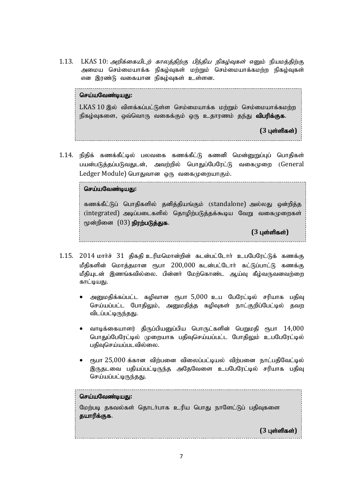1.13. LKAS 10: அறிக்கையிடற் காலத்திற்கு பிந்திய நிகழ்வுகள் எனும் நியமத்திற்கு அமைய செம்மையாக்க நிகம்வகள் மற்றும் செம்மையாக்கமற்ற நிகம்வகள் என இரண்டு வகையான நிகழ்வுகள் உள்ளன.

### செய்யவேண்டியது:

 $LKAS$   $10$  இல் ,விளக்கப்பட்டுள்ள செம்மையாக்க மற்றும் செம்மையாக்கமற்ற நிகழ்வுகளை, ஒவ்வொரு வகைக்கும் ஒரு உதாரணம் தந்து **விபரிக்குக**.

**(3 பள்ளிகள்)** 

1.14. நிதிக் கணக்கீட்டில் பலவகை கணக்கீட்டு கணனி மென்னுறுப்புப் பொதிகள் பயன்படுக்கப்படுவதுடன், அவற்றில் பொகுப்பேரேட்டு வகைமுறை (General Ledger Module) பொதுவான ஒரு வகைமுறையாகும்.

------------------------------------

### செய்யவேண்டிய**க**ு:

கணக்கீட்டுப் பொதிகளில் தனித்தியங்கும் (standalone) அல்லது ஒன்றித்த  $(i$ ntegrated) அடிப்படைகளில் தொமிற்படுத்தக்கூடிய வேறு வகைமுறைகள் மூன்றினை  $(03)$  நிரற்படுத்துக.

**(3 பள்ளிகள்)** 

- 1.15. 2014 மார்ச் 31 திகதி உரிமமொன்றின் கடன்பட்டோர் உபபேரேட்டுக் கணக்கு மீதிகளின் மொத்தமான ரூபா 200,000 கடன்பட்டோர் கட்டுப்பாட்டு கணக்கு மீதியுடன் இணங்கவில்லை. பின்னர் மேற்கொண்ட ஆய்வு கீழ்வருவனவற்றை காட்டியது.
	- அனுமதிக்கப்பட்ட கழிவான ரூபா 5,000 உப பேரேட்டில் சரியாக பதிவு செய்யப்பட்ட போதிலும், அனுமதித்த கழிவுகள் நாட்குறிப்பேட்டில் தவற விடப்பட்டிருந்தது.
	- $\bullet$  வாடிக்கையாளர் கிருப்பியனுப்பிய பொருட்களின் பெறுமதி ரூபா  $14{,}000$ பொதுப்பேரேட்டில் முறையாக பதிவுசெய்யப்பட்ட போதிலும் உபபேரேட்டில் பதிவுசெய்யப்படவில்லை.
	- $\epsilon$ நபா  $25.000$  க்கான விற்பனை விலைப்பட்டியல் விற்பனை நாட்பதிவேட்டில் இருதடவை பதியப்பட்டிருந்த அதேவேளை உபபேரேட்டில் சரியாக பதிவு செய்யப்பட்டிருந்தது.

### செய்யவேண்டியது:

மேற்படி தகவல்கள் தொடா்பாக உரிய பொது நாளேட்டுப் பதிவுகளை தயாரிக்குக.

 $(3 \text{ L} \cdot \hat{\text{S}})$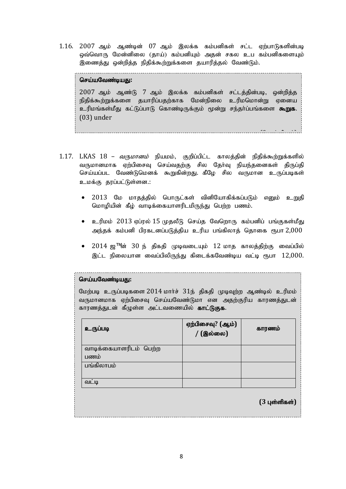1.16. 2007 ஆம் ஆண்டின் 07 ஆம் இலக்க கம்பனிகள் சட்ட ஏற்பாடுகளின்படி ஒவ்வொரு மேன்னிலை (தாய்) கம்பனியும் அதன் சகல உப கம்பனிகளையும் இணைத்து ஒன்றித்த நிதிக்கூற்றுக்களை தயாரித்தல் வேண்டும்.

#### செய்யவேண்டிய**கு**:

 $2007$  ஆம் ஆண்டு  $7$  ஆம் இலக்க கம்பனிகள் சட்டத்தின்படி, ஒன்றித்த நிதிக்கூற்றுக்களை தயாரிப்பதற்காக மேன்நிலை உரிமமொன்று ஏனைய உரிமங்கள்மீது கட்டுப்பாடு கொண்டிருக்கும் மூன்று சந்தர்ப்பங்களை **கூறுக.** (03) under

**(3** Gs;spfs ;**)**

- $1.17.$  LKAS  $18$  *வருமானம்* நியமம், குறிப்பிட்ட காலத்தின் நிதிக்கூற்றுக்களில் வருமானமாக ஏற்பிசைவு செய்வதற்கு சில தேர்வு நியந்தனைகள் திருப்தி செய்யப்பட வேண்டுமெனக் கூறுகின்றது. கீழே சில வருமான உருப்படிகள<mark>்</mark> உமக்கு கரப்பட்டுள்ளன.:
	- 2013 மே மாதத்தில் பொருட்கள் வினியோகிக்கப்படும் எனும் உறுதி மொழியின் கீழ் வாடிக்கையாளரிடமிருந்து பெற்ற பணம்.
	- $\bullet$  உரிமம்  $2013$  ஏப்ரல்  $15$  முதலீடு செய்த வேறொரு கம்பனிப் பங்குகள்மீது அந்தக் கம்பனி பிரகடனப்படுத்திய உரிய பங்கிலாத் தொகை ரூபா  $2,\!000$
	- $2014$  ஜ™ன்  $30$  ந் திகதி முடிவடையும்  $12$  மாத காலத்திற்கு வைப்பில் இட்ட நிலையான வைப்பிலிருந்து கிடைக்கவேண்டிய வட்டி ரூபா  $12,000$ .

### செய்யவேண்டியது:

மேற்படி உருப்படிகளை  $2014$  மார்ச்  $31$ ந் திகதி முடிவற்ற ஆண்டில் உரிமம் வருமானமாக ஏற்பிசைவு செய்யவேண்டுமா என அதற்குரிய காரணத்துடன் காரணத்துடன் கீழுள்ள அட்டவணையில் **காட்டுகுக**.

| உருப்படி               | ஏற்பிசைவு? (ஆம்)<br>/ (இல்லை) | காரணம்                  |
|------------------------|-------------------------------|-------------------------|
| வாடிக்கையாளரிடம் பெற்ற |                               |                         |
| பணம்                   |                               |                         |
| பங்கிலாபம்             |                               |                         |
|                        |                               |                         |
| $\bullet$<br>வட்டி     |                               |                         |
|                        |                               | $(3 \text{ L}$ ள்ளிகள்) |

8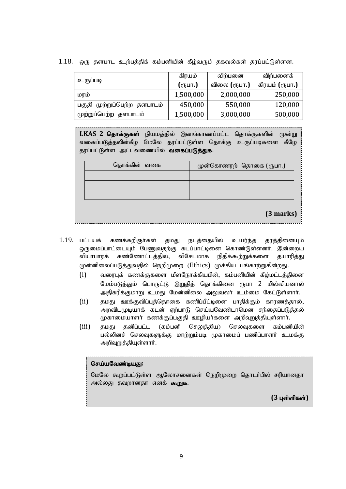|                             | கிரயம்           | விற்பனை      | விற்பனைக்      |
|-----------------------------|------------------|--------------|----------------|
| உருப்படி                    | (ரூபா <b>.</b> ) | விலை (ரூபா.) | கிரயம் (ரூபா.) |
| மரம்                        | 1,500,000        | 2,000,000    | 250,000        |
| பகுதி முற்றுப்பெற்ற தளபாடம் | 450,000          | 550,000      | 120,000        |
| முற்றுப்பெற்ற தளபாடம்       | 1,500,000        | 3,000,000    | 500,000        |

 $1.18$ . ஒரு தளபாட உற்பத்திக் கம்பனியின் கீழ்வரும் தகவல்கள் தரப்பட்டுள்ளன.

LKAS 2 தொக்குகள் நியமத்தில் இனங்காணப்பட்ட தொக்குகளின் மூன்று வகைப்படுத்தலின்கீழ் மேலே தரப்பட்டுள்ள தொக்கு உருப்படிகளை கீழே தரப்பட்டுள்ள அட்டவணையில் **வகைப்படுத்துக.** 

| தொக்கின் வகை | முன்கொணரற் தொகை (ரூபா.)  |
|--------------|--------------------------|
|              |                          |
|              |                          |
|              |                          |
|              | $\overline{\phantom{a}}$ |

**(3 marks)**

1.19. பட்டயக் கணக்கறிஞர்கள் தமது நடத்தையில் உயர்ந்த தரத்தினையும் ஒருமைப்பாட்டையும் பேணுவதற்கு கடப்பாட்டினை கொண்டுள்ளனர். இன்றைய வியாபாரக் கண்ணோட்டத்தில், விசேடமாக நிதிக்கூற்றுக்களை தயாரித்து முன்னிலைப்படுத்துவதில் நெறிமுறை (Ethics) முக்கிய பங்காற்றுகின்றது.

- $(i)$  வரைபுக் கணக்குகளை மீளநோக்கியபின், கம்பனியின் கீழ்மட்டத்தினை மேம்படுத்தும் பொருட்டு இறுதித் தொக்கினை ரூபா 2 மில்லியனால் அதிகரிக்குமாறு உமது மேன்னிலை அலுவலா் உம்மை கேட்டுள்ளாா்.
- (ii) தமது ஊக்குவிப்புத்தொகை கணிப்பீட்டினை பாதிக்கும் காரணத்தால், அறவிடமுடியாக் கடன் ஏற்பாடு செய்யவேண்டாமென சந்தைப்படுத்தல் முகாமையாளர் கணக்குப்பகுதி ஊழியர்களை அறிவுறுத்தியுள்ளார்.
- (iii) தமது தனிப்பட்ட (கம்பனி செலுத்திய) செலவுகளை கம்பனியின் பல்லினச் செலவுகளுக்கு மாற்றும்படி முகாமைப் பணிப்பாளர் உமக்கு அறிவுறுத்தியுள்ளார்.

## செய்யவேண்டியது:

மேலே கூறப்பட்டுள்ள ஆலோசனைகள் நெறிமுறை தொடர்பில் சரியானதா அல்லது தவறானதா எனக் கூறுக.

**(3 புள்ளிகள்)**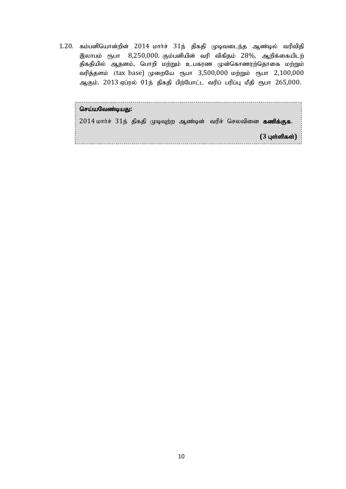$1.20$ . கம்பனியொன்றின்  $2014$  மார்ச்  $31$ ந் திகதி முடிவடைந்த ஆண்டில் வரிவிதி இலாபம் ரூபா  $8,250,000$ . கும்பனியின் வரி விகிதம்  $28\%$ . ஆறிக்கையிடற் திகதியில் ஆதனம், பொறி மற்றும் உபகரண முன்கொணரற்தொகை மற்றும் வரித்தளம் (tax base) முறையே ரூபா 3,500,000 மற்றும் ரூபா 2,100,000 ஆகும். 2013 ஏப்ரல் 01ந் திகதி பிற்போட்ட வரிப் பரிப்பு மீதி ரூபா 265,000.

| செய்யவேண்டியது: |  |  |  |                                                                  |                         |
|-----------------|--|--|--|------------------------------------------------------------------|-------------------------|
|                 |  |  |  | 2014 மார்ச் 31ந் திகதி முடிவுற்ற ஆண்டின் வரிச் செலவினை கணிக்குக. |                         |
|                 |  |  |  |                                                                  | $(3 \text{ L}$ ள்ளிகள்) |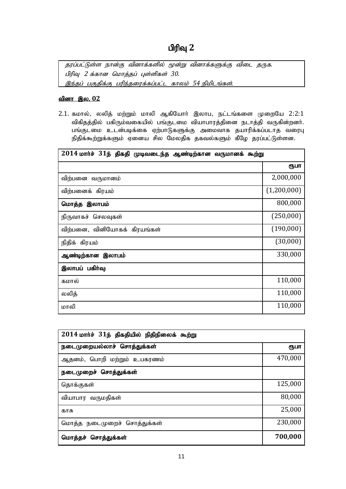# பிரிவு 2

்தரப்பட்டுள்ள நான்கு வினாக்களில் மூன்று வினாக்களுக்கு விடை தருக. பிரிவு *2 க்கான மொத்தப் புள்ளிகள் 30.* இந்தப் பகுதிக்கு பரிந்தரைக்கப்பட்ட காலம் 54 நிமிடங்கள்.

# <u>வினா இல. 02</u>

 $2.1.$  கமால், லலித் மற்றும் மாலி ஆகியோர் இலாப, நட்டங்களை முறையே  $2:2:1$ விகிதத்தில் பகிரும்வகையில் பங்குடமை வியாபாரத்தினை நடாத்தி வருகின்றனர். பங்குடமை உடன்படிக்கை ஏற்பாடுகளுக்கு அமைவாக தயாரிக்கப்படாத வரைபு நிதிக்கூற்றுக்களும் ஏனைய சில மேலதிக தகவல்களும் கீழே தரப்பட்டுள்ளன.

| $2014$ மார்ச் $31$ ந் திகதி முடிவடைந்த ஆண்டிற்கான வருமானக் கூற்று |             |
|-------------------------------------------------------------------|-------------|
|                                                                   | ரூபா        |
| விற்பனை வருமானம்                                                  | 2,000,000   |
| விற்பனைக் கிரயம்                                                  | (1,200,000) |
| மொத்த இலாபம்                                                      | 800,000     |
| நிருவாகச் செலவுகள்                                                | (250,000)   |
| விற்பனை, வினியோகக் கிரயங்கள்                                      | (190,000)   |
| நிதிக் கிரயம்                                                     | (30,000)    |
| ஆண்டிற்கான இலாபம்                                                 | 330,000     |
| இலாபப் பகிர்வு:                                                   |             |
| கமால்                                                             | 110,000     |
| லலித்                                                             | 110,000     |
| மாலி                                                              | 110,000     |

| $2014$ மார்ச் $31$ ந் திகதியில் நிதிநிலைக் கூற்று |         |  |
|---------------------------------------------------|---------|--|
| நடைமுறையல்லாச் சொத்துக்கள்                        | ரூபா    |  |
| ஆதனம், பொறி மற்றும் உபகரணம்                       | 470,000 |  |
| நடைமுறைச் சொத்துக்கள்                             |         |  |
| தொக்குகள்                                         | 125,000 |  |
| வியாபார வருமதிகள்                                 | 80,000  |  |
| காசு                                              | 25,000  |  |
| மொத்த நடைமுறைச் சொத்துக்கள்                       | 230,000 |  |
| மொத்தச் சொத்துக்கள்                               | 700,000 |  |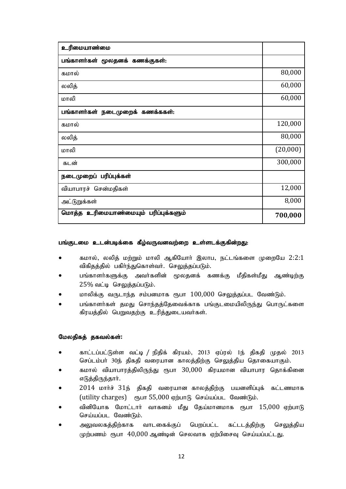| உரிமையாண்மை                          |          |
|--------------------------------------|----------|
| பங்காளர்கள் மூலதனக் கணக்குகள்:       |          |
| கமால்                                | 80,000   |
| லலித்                                | 60,000   |
| மாலி                                 | 60,000   |
| பங்காளர்கள் நடைமுறைக் கணக்ககள்:      |          |
| கமால்                                | 120,000  |
| லலித்                                | 80,000   |
| மாலி                                 | (20,000) |
| கடன்                                 | 300,000  |
| நடைமுறைப் பரிப்புக்கள்               |          |
| வியாபாரச் சென்மதிகள்                 | 12,000   |
| அட்டுறுக்கள்                         | 8,000    |
| மொத்த உரிமையாண்மையும் பரிப்புக்களும் | 700,000  |

### பங்குடமை உடன்படிக்கை கீழ்வருவனவற்றை உள்ளடக்குகின்றது:

- கமால், லலித் மற்றும் மாலி ஆகியோர் இலாப, நட்டங்களை முறையே 2:2:1 விகிதத்தில் பகிா்ந்துகொள்வா். செலுத்தப்படும்.
- பங்காளா்களுக்கு அவா்களின் மூலதனக் கணக்கு மீதிகள்மீது ஆண்டிற்கு  $25\%$  வட்டி செலுத்தப்படும்.
- மாலிக்கு வருடாந்த சம்பனமாக ரூபா  $100,000$  செலுத்தப்பட வேண்டும்.
- பங்காளர்கள் தமது சொந்தத்தேவைக்காக பங்குடமையிலிருந்து பொருட்களை கிரயத்தில் பெறுவதற்கு உரித்துடையவர்கள்.

### மேலதிகத் தகவல்கள்:

- காட்டப்பட்டுள்ள வட்டி / நிதிக் கிரயம், 2013 ஏப்ரல் 1ந் திகதி முதல் 2013 செப்டம்பா் 30ந் திகதி வரையான காலத்திற்கு செலுத்திய தொகையாகும்.
- கமால் வியாபாரத்திலிருந்து ரூபா  $30,\!000$  கிரயமான வியாபார தொக்கினை எடுத்திருந்தார்.
- $2014$  மார்ச்  $31$ ந் திகதி வரையான காலத்திற்கு பயனளிப்புக் கட்டணமாக  $(t)$  (utility charges)  $\epsilon_{\text{g}}$   $\epsilon_{\text{g}}$  and  $\epsilon_{\text{g}}$  of  $\epsilon_{\text{h}}$  and  $\epsilon_{\text{h}}$ .
- வினியோக மோட்டார் வாகனம் மீது தேய்மானமாக ரூபா 15,000 ஏற்பாடு செய்யப்பட வேண்டும்.
- $\bullet$  அலுவலகத்திற்காக வாடகைக்குப் பெறப்பட்ட கட்டடத்திற்கு செலுத்திய  $\mu$ ற்பணம் ரூபா  $40,000$  ஆண்டின் செலவாக ஏற்பிசைவு செய்யப்பட்டது.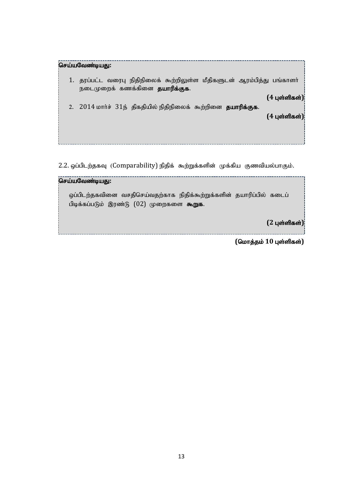| செய்யவேண்டியது:                                                                                               |
|---------------------------------------------------------------------------------------------------------------|
| தரப்பட்ட வரைபு நிதிநிலைக் கூற்றிலுள்ள மீதிகளுடன் ஆரம்பித்து பங்காளா்<br>நடைமுறைக் கணக்கினை <b>தயாரிக்குக.</b> |
| $(4 \; \mu \text{sin} \theta)$                                                                                |
| 2. 2014 மார்ச் 31ந் திகதியில் நிதிநிலைக் கூற்றினை தயாரிக்குக.                                                 |
| $(4 \; \mu \text{sin} \theta)$                                                                                |
|                                                                                                               |
|                                                                                                               |
|                                                                                                               |

2.2. ஒப்பிடற்தகவு (Comparability) நிதிக் கூற்றுக்களின் முக்கிய குணவியல்பாகும்.

# nra;aNtz;baJ**:**

ஒப்பிடற்தகவினை வசதிசெய்வதற்காக நிதிக்கூற்றுக்களின் தயாரிப்பில் கடைப் பிடிக்கப்படும் இரண்டு  $(02)$  முறைகளை கூறுக.

**(2** Gs;spfs ;**)**

 $($ மொத்தம் 10 புள்ளிகள்)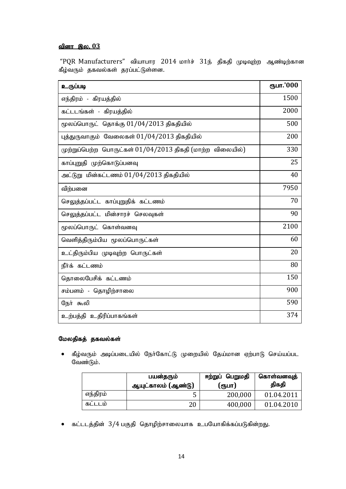# <u>வினா இல. 03</u>

"PQR Manufacturers" வியாபார 2014 மார்ச்  $31$ ந் திகதி முடிவுற்ற ஆண்டிற்கான கீழ்வரும் தகவல்கள் தரப்பட்டுள்ளன.

| உருப்படி                                                     | ரூபா.'000 |
|--------------------------------------------------------------|-----------|
| எந்திரம் - கிரயத்தில்                                        | 1500      |
| கட்டடங்கள் - கிரயத்தில்                                      | 2000      |
| மூலப்பொருட் தொக்கு $01/04/2013$ திகதியில்                    | 500       |
| புத்துருவாகும் வேலைகள் $01/04/2013$ திகதியில்                | 200       |
| (முற்றுப்பெற்ற பொருட்கள் $01/04/2013$ திகதி (மாற்ற விலையில்) | 330       |
| காப்புறுதி முற்கொடுப்பனவு                                    | 25        |
| அட்டுறு மின்கட்டணம் 01/04/2013 திகதியில்                     | 40        |
| விற்பனை                                                      | 7950      |
| செலுத்தப்பட்ட காப்புறுதிக் கட்டணம்                           | 70        |
| செலுத்தப்பட்ட மின்சாரச் செலவுகள்                             | 90        |
| மூலப்பொருட் கொள்வனவு                                         | 2100      |
| வெளித்திரும்பிய மூலப்பொருட்கள்                               | 60        |
| உட்திரும்பிய முடிவுற்ற பொருட்கள்                             | 20        |
| நீர்க் கட்டணம்                                               | 80        |
| தொலைபேசிக் கட்டணம்                                           | 150       |
| சம்பளம் - தொழிற்சாலை                                         | 900       |
| நேர் கூலி                                                    | 590       |
| உற்பத்தி உதிரிப்பாகங்கள்                                     | 374       |

# மேலதிகத் தகவல்கள்

 $\bullet$  கீழ்வரும் அடிப்படையில் நோ்கோட்டு முறையில் தேய்மான ஏற்பாடு செய்யப்பட வேண்டும்.

|                | பயன்தரும்<br>ஆயுட்காலம் (ஆண்டு) | பெறுமதி<br>ஈற்றுப்<br>(ரூபா) | கொள்வனவுத்<br>திகதி |
|----------------|---------------------------------|------------------------------|---------------------|
| எந்திரம்       | u                               | 200,000                      | 01.04.2011          |
| <b>ABLLLID</b> | 20                              | 400,000                      | 01.04.2010          |

் கட்டடத்தின்  $3/4$  பகுதி தொழிற்சாலையாக உபயோகிக்கப்படுகின்றது.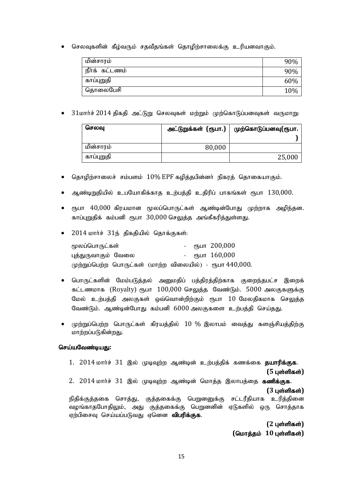• செலவுகளின் கீழ்வரும் சதவீதங்கள் தொழிற்சாலைக்கு உரியனவாகும்.

| மின்சாரம்      | 90% |
|----------------|-----|
| நீர்க் கட்டணம் | 90% |
| காப்புறுதி     | 60% |
| தொலைபேசி       | 10% |

•  $31$ மார்ச் 2014 திகதி அட்டுறு செலவுகள் மற்றும் முற்கொடுப்பனவுகள் வருமாறு:

| செலவு      | அட்டுறுக்கள் (ரூபா.) | முற்கொடுப்பனவு(ரூபா. |
|------------|----------------------|----------------------|
|            |                      |                      |
| மின்சாரம்  | 80,000               |                      |
| காப்புறுதி |                      | 25,000               |

- $\bullet$  தொழிற்சாலைச் சம்பளம்  $10\%$  EPF கழித்தபின்னர் நிகரத் தொகையாகும்.
- ஆண்டிறுதியில் உபயோகிக்காத உற்பத்தி உதிரிப் பாகங்கள் ரூபா 130,000.
- $\bullet$  ரூபா  $40{,}000$  கிரயமான மூலப்பொருட்கள் ஆண்டின்போது முற்றாக அழிந்தன. காப்புறுதிக் கம்பனி ரூபா 30,000 செலுத்த அங்கீகரித்துள்ளது.
- $\bullet$  2014 மார்ச் 31ந் திகதியில் கொக்குகள்:

| மூலப்பொருட்கள்                                           | - ரூபா 200,000 |
|----------------------------------------------------------|----------------|
| புத்துருவாகும் வேலை                                      | - ரூபா 160,000 |
| முற்றுப்பெற்ற பொருட்கள் (மாற்ற விலையில்) - ரூபா 440,000. |                |

- பொருட்களின் மேம்படுத்தல் அனுமதிப் பத்திரத்திற்காக குறைந்தபட்ச இறைக் கட்டணமாக (Royalty) ரூபா  $100,000$  செலுத்த வேண்டும். 5000 அலகுகளுக்கு மேல் உற்பத்தி அலகுகள் ஒவ்வொன்றிற்கும் ரூபா 10 மேலதிகமாக செலுத்த வேண்டும். ஆண்டின்போது கம்பனி 6000 அலகுகளை உற்பத்தி செய்தது.
- $\bullet$  முற்றுப்பெற்ற பொருட்கள் கிரயத்தில்  $10$  % இலாபம் வைத்து களஞ்சியத்திற்கு மாற்றப்படுகின்றது.

### செய்யவேண்டிய**கு**:

1. 2014 மார்ச் 31 இல் முடிவுற்ற ஆண்டின் உற்பத்திக் கணக்கை தயாரிக்குக.  $(5 \text{ L} \cdot \hat{\text{S}})$ 2.  $2014$  மார்ச்  $31$  இல் முடிவுற்ற ஆண்டின் மொத்த இலாபத்தை கணிக்குக. **(3** புள்ளிகள்) நிதிக்குத்தகை சொத்து, குத்தகைக்கு பெறுனனுக்கு சட்டரீதியாக உரித்தினை வழங்காதபோதிலும், அது குத்தகைக்கு பெறுனனின் ஏடுகளில் ஒரு சொத்தாக ஏற்பிசைவு செய்யப்படுவது ஏனென **விபரிக்குக.** 

**(2 புள்ளிகள்)**  $($ மொத்தம் 10 புள்ளிகள்)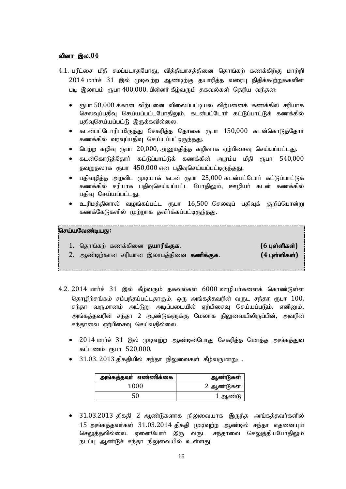### வினா இல.04

- 4.1. பரீட்சை மீதி சமப்படாதபோது, வித்தியாசத்தினை தொங்கற் கணக்கிற்கு மாற்றி  $2014$  மார்ச்  $31$  இல் முடிவுற்ற ஆண்டிற்கு தயாரித்த வரைபு நிதிக்கூற்றுக்களின் படி இலாபம் ரூபா 400,000. பின்னர் கீழ்வரும் தகவல்கள் தெரிய வந்தன:
	- $\bullet$  ரூபா  $50{,}000$  க்கான விற்பனை விலைப்பட்டியல் விற்பனைக் கணக்கில் சரியாக செலவுப்பதிவு செய்யப்பட்டபோதிலும், கடன்பட்டோர் கட்டுப்பாட்டுக் கணக்கில் பதிவுசெய்யப்பட்டு இருக்கவில்லை.
	- ் கடன்பட்டோரிடமிருந்து சேகரித்த தொகை ரூபா  $150,000$  கடன்கொடுத்தோர் கணக்கில் வரவுப்பதிவு செய்யப்பட்டிருந்தது.
	- $\bullet$  பெற்ற கழிவு ரூபா  $20,000$ , அனுமதித்த கழிவாக ஏற்பிசைவு செய்யப்பட்டது.
	- $\bullet$  கடன்கொடுத்தோா் கட்டுப்பாட்டுக் கணக்கின் ஆரம்ப மீதி ரூபா  $540{,}000$ தவறுதலாக ரூபா 450,000 என பதிவுசெய்யப்பட்டிருந்தது.
	- பதிவழித்த அறவிட முடியாக் கடன் ரூபா 25,000 கடன்பட்டோர் கட்டுப்பாட்டுக் கணக்கில் சரியாக பதிவுசெய்யப்பட்ட போதிலும், ஊழியர் கடன் கணக்கில் பதிவு செய்யப்பட்டது.
	- உரிமத்தினால் வழங்கப்பட்ட ரூபா  $16,500$  செலவுப் பதிவுக் குறிப்பொன்று கணக்கேடுகளில் முற்றாக தவிர்க்கப்பட்டிருந்தது.

### .<br>தெய்யவேண்டியது:

| 1. தொங்கற் கணக்கினை <b>தயாரிக்குக</b> .           | $(6 \text{ L}$ ள்ளிகள்) |
|---------------------------------------------------|-------------------------|
| 2. ஆண்டிற்கான சரியான இலாபத்தினை <b>கணிக்குக</b> . | $(4 \text{ L}$ ள்ளிகள்) |

- $4.2.$   $2014$  மார்ச்  $31$  இல் கீழ்வரும் தகவல்கள்  $6000$  ஊழியர்களைக் கொண்டுள்ள தொழிற்சங்கம் சம்பந்தப்பட்டதாகும். ஒரு அங்கத்தவரின் வருட சந்தா ரூபா 100. சந்தா வருமானம் அட்டுறு அடிப்படையில் ஏற்பிசைவு செய்யப்படும். எனினும், அங்கத்தவரின் சந்தா 2 ஆண்டுகளுக்கு மேலாக நிலுவையிலிருப்பின், அவரின் சந்தாவை ஏற்பிசைவு செய்வதில்லை.
	- $\bullet$  2014 மார்ச் 31 இல் முடிவுற்ற ஆண்டின்போது சேகரித்த மொத்த அங்கத்துவ கட்டணம் ரூபா 520,000.
	- $\bullet$  31.03. 2013 திகதியில் சந்தா நிலுவைகள் கீழ்வருமாறு: .

| அங்கத்தவா் எண்ணிக்கை | ஆண்டுகள்   |
|----------------------|------------|
| 1000                 | 2 ஆண்டுகள் |
| 50                   | 1 ஆண்டு    |

 $31.03.2013$  திகதி  $2$  ஆண்டுகளாக நிலுவையாக இருந்த அங்கத்தவர்களில்  $15$  அங்கத்தவர்கள்  $31.03.2014$  திகதி முடிவுற்ற ஆண்டில் சந்தா எதனையும் செலுத்தவில்லை. ஏனையோர் இரு வருட சந்தாவை செலுத்தியபோதிலும் நடப்பு ஆண்டுச் சந்தா நிலுவையில் உள்ளது.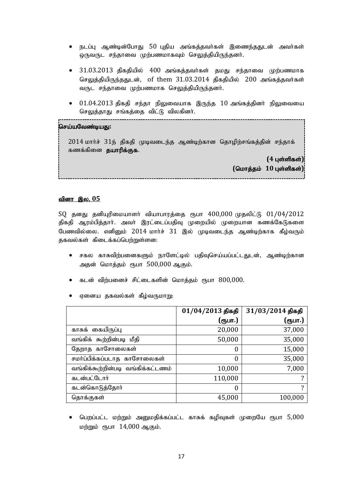- $\bullet$  நடப்பு ஆண்டின்போது 50 புதிய அங்கத்தவர்கள் இணைந்ததுடன் அவர்கள் ஒருவருட சந்தாவை முற்பணமாகவும் செலுத்தியிருந்தனர்.
- $\bullet$  31.03.2013 திகதியில் 400 அங்கத்தவர்கள் தமது சந்தாவை முற்பணமாக செலுத்தியிருந்ததுடன், of them  $31.03.2014$  திகதியில்  $200$  அங்கத்தவர்கள் வருட சந்தாவை முற்பணமாக செலுத்தியிருந்தனர்.
- $01.04.2013$  திகதி சந்தா நிலுவையாக இருந்த  $10$  அங்கத்தினர் நிலுவையை செலுத்தாது சங்கத்தை விட்டு விலகினா்.

### .<br>செய்யவேண்டியது:

 $2014$  மார்ச்  $31$ ந் திகதி முடிவடைந்த ஆண்டிற்கான தொழிற்சங்கத்தின் சந்தாக் கணக்கினை **தயாரிக்குக.** 

> $(4 \text{ }$ புள்ளிகள்)  $($ மொத்தம் 10 புள்ளிகள்)

### <u>வினா இல. 05</u>

 $SQ$  தனது தனியுரிமையாளர் வியாபாரத்தை ரூபா  $400,000$  முதலிட்டு  $01/04/2012$ திகதி ஆரம்பித்தார். அவர் இரட்டைப்பதிவு முறையில் முறையான கணக்கேடுகளை பேணவில்லை. எனினும் 2014 மார்ச் 31 இல் முடிவடைந்த ஆண்டிற்காக கீழ்வரும் தகவல்கள் கிடைக்கப்பெற்றுள்ளன:

- சகல காசுவிற்பனைகளும் நாளேட்டில் பதிவுசெய்யப்பட்டதுடன், ஆண்டிற்கான அதன் மொத்தம் ரூபா 500,000 ஆகும்.
- கடன் விற்பனைச் சிட்டைகளின் மொத்தம் ரூபா 800,000.
- ஏனைய தகவல்கள் கீழ்வருமாறு:

|                                   | $01/04/2013$ திகதி | 31/03/2014 திகதி |
|-----------------------------------|--------------------|------------------|
|                                   | (ரூபா.)            | (ரூபா.)          |
| காசுக் கையிருப்பு                 | 20,000             | 37,000           |
| வங்கிக் கூற்றின்படி மீதி          | 50,000             | 35,000           |
| தேறாத காசோலைகள்                   | $\theta$           | 15,000           |
| சமா்ப்பிக்கப்படாத காசோலைகள்       | 0                  | 35,000           |
| வங்கிக்கூற்றின்படி வங்கிக்கட்டணம் | 10,000             | 7,000            |
| கடன்பட்டோர்                       | 110,000            | 7                |
| கடன்கொடுத்தோா்                    | $\theta$           | 7                |
| தொக்குகள்                         | 45,000             | 100,000          |

 $\bullet$  பெறப்பட்ட மற்றும் அனுமதிக்கப்பட்ட காசுக் கழிவுகள் முறையே ரூபா  $5{,}000$ மற்றும் ரூபா  $14,000$  ஆகும்.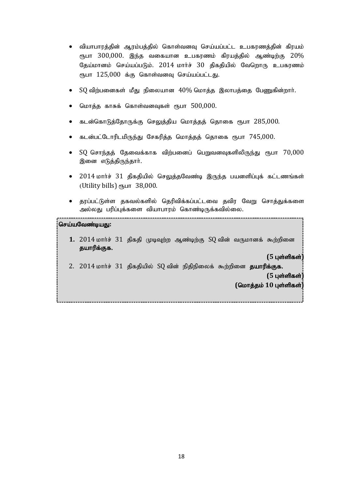- ் வியாபாரத்தின் ஆரம்பத்தில் கொள்வனவு செய்யப்பட்ட உபகரணத்தின் கிரயம் ரூபா  $300,000$ . இந்த வகையான உபகரணம் கிரயத்தில் ஆண்டிற்கு  $20\%$ தேய்மானம் செய்யப்படும். 2014 மார்ச் 30 திகதியில் வேறொரு உபகரணம் ரூபா 125,000 க்கு கொள்வனவ செய்யப்பட்டது.
- $SO$  விற்பனைகள் மீது நிலையான  $40\%$  மொத்த இலாபத்தை பேணுகின்றார்.
- மொத்த காசுக் கொள்வனவுகள் ரூபா 500,000.
- கடன்கொடுத்தோருக்கு செலுத்திய மொத்தத் தொகை ரூபா 285,000.
- கடன்பட்டோரிடமிருந்து சேகரித்த மொத்தத் தொகை ரூபா 745,000.
- $SO$  சொந்தத் தேவைக்காக விற்பனைப் பெறுவனவுகளிலிருந்து ரூபா  $70,000$ இனை எடுத்திருந்தார்.
- $\bullet$  2014 மார்ச் 31 திகதியில் செலுத்தவேண்டி இருந்த பயனளிப்புக் கட்டணங்கள் (Utility bills)  $\epsilon$ <sub>15</sub>  $\mu$  38,000.
- தரப்பட்டுள்ள தகவல்களில் தெரிவிக்கப்பட்டவை தவிர வேறு சொத்துக்களை அல்லது பரிப்புக்களை வியாபாரம் கொண்டிருக்கவில்லை.

### செய்யவேண்டியது:

1. 2014 மார்ச் 31 திகதி முடிவுற்ற ஆண்டிற்கு SQ வின் வருமானக் கூற்றினை தயாரிக்குக.

 $(5 \text{ }$ **புள்ளிகள்**]

2.  $2014$  மார்ச்  $31$  திகதியில்  $SQ$  வின் நிதிநிலைக் கூற்றினை தயாரிக்குக.

 $(5 \text{ L}$ ள்ளிகள்)

 $($ மொத்தம் 10 புள்ளிகள்<sup>]</sup>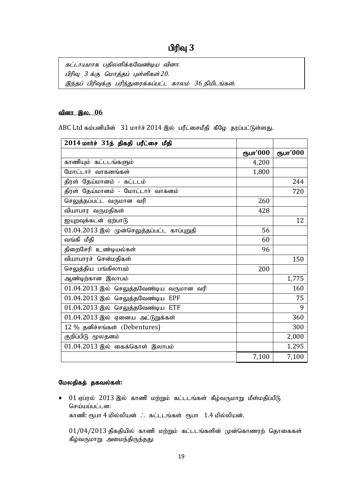கட்டாயமாக பதிலளிக்கவேண்டிய வினா. பிரிவு *3 க்கு மொத்தப் புள்ளிகள்* 20. இந்தப் பிரிவுக்கு பரிந்துரைக்கப்பட்ட காலம் 36 நிமிடங்கள்.

### <u>வினா இல. 06</u>

ABC Ltd கம்பனியின் 31 மார்ச் 2014 இல் பரீட்சைமீதி கீழே தரப்பட்டுள்ளது.

| 2014 மார்ச் 31ந் திகதி பரீட்சை மீதி         |          |          |
|---------------------------------------------|----------|----------|
|                                             | ரூபா'000 | ரூபா'000 |
| காணியும் கட்டடங்களும்                       | 4,200    |          |
| மோட்டார் வாகனங்கள்                          | 1,800    |          |
| திரள் தேய்மானம் - கட்டடம்                   |          | 244      |
| திரள் தேய்மானம் - மோட்டார் வாகனம்           |          | 720      |
| செலுத்தப்பட்ட வருமான வரி                    | 260      |          |
| வியாபார வருமதிகள்                           | 428      |          |
| ஐயுறவுக்கடன் ஏற்பாடு                        |          | 12       |
| 01.04.2013 இல் முன்செலுத்தப்பட்ட காப்புறுதி | 56       |          |
| வங்கி மீதி                                  | 60       |          |
| திறைசேரி உண்டியல்கள்                        | 96       |          |
| வியாபாரச் சென்மதிகள்                        |          | 150      |
| செலுத்திய பங்கிலாபம்                        | 200      |          |
| ஆண்டிற்கான இலாபம்                           |          | 1,775    |
| 01.04.2013 இல் செலுத்தவேண்டிய வருமான வரி    |          | 160      |
| 01.04.2013 இல் செலுத்தவேண்டிய EPF           |          | 75       |
| 01.04.2013 இல் செலுத்தவேண்டிய ETF           |          | 9        |
| $01.04.2013$ இல் ஏனைய அட்டுறுக்கள்          |          | 360      |
| 12 % தனிச்சங்கள் (Debentures)               |          | 300      |
| குறிப்பிடு மூலதனம்                          |          | 2,000    |
| $01.04.2013$ இல் கைக்கொள் இலாபம்            |          | 1,295    |
|                                             | 7,100    | 7,100    |

# மேலதிகத் தகவல்கள்:

 $\bullet$  01 ஏப்ரல் 2013 இல் காணி மற்றும் கட்டடங்கள் கீழ்வருமாறு மீள்மதிப்பீடு செய்யப்பட்டன: காணி: ரூபா 4 மில்லியன்  $\therefore$  கட்டடங்கள் ரூபா  $1.4$  மில்லியன்.

 $01/04/2013$  திகதியில் காணி மற்றும் கட்டடங்களின் முன்கொணரற் தொகைகள் கீழ்வருமாறு அமைந்திருந்தது: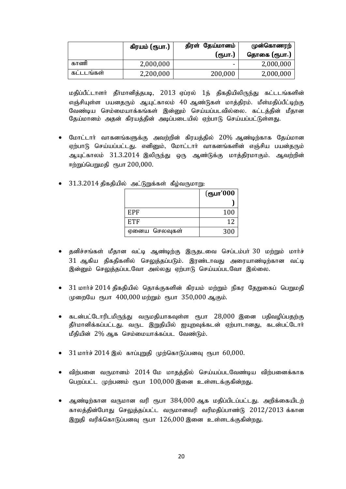|             | கிரயம் (ரூபா.) | திரள் தேய்மானம் | முன்கொணரற்   |
|-------------|----------------|-----------------|--------------|
|             |                | (ரூபா.)         | தொகை (ரூபா.) |
| காணி        | 2,000,000      |                 | 2,000,000    |
| கட<br>. ஙகள | 2,200,000      | 200,000         | 2,000,000    |

மதிப்பீட்டாளர் தீர்மானித்தபடி, 2013 ஏப்ரல் 1ந் திகதியிலிருந்து கட்டடங்களின் எஞ்சியுள்ள பயனதரும் ஆயுட்காலம் 40 ஆண்டுகள் மாத்திரம். மீள்மதிப்பீட்டிற்கு வேண்டிய செம்மையாக்கங்கள் இன்னும் செய்யப்படவில்லை. கட்டத்தின் மீதான தேய்மானம் அதன் கிரயத்தின் அடிப்படையில் ஏற்பாடு செய்யப்பட்டுள்ளது.

- மோட்டார் வாகனங்களுக்கு அவற்றின் கிரயக்கில்  $20\%$  ஆண்டிற்காக கேய்மான ஏற்பாடு செய்யப்பட்டது. எனினும், மோட்டாா் வாகனங்களின் எஞ்சிய பயன்தரும் ஆயுட்காலம் 31.3.2014 இலிருந்து ஒரு ஆண்டுக்கு மாத்திரமாகும். ஆவற்றின் ஈற்றுப்பெறுமதி. ரூபா 200,000.
- $31.3.2014$  திகதியில் அட்டுறுக்கள் கீழ்வருமாறு:

|               | (ரூபா'000 |
|---------------|-----------|
|               |           |
| EPF           | 100       |
| ETF           | 12        |
| ஏனைய செலவுகள் | 300       |

- தனிச்சங்கள் மீதான வட்டி ஆண்டிற்கு இருதடவை செப்டம்பர் 30 மற்றும் மார்ச் 31 ஆகிய திகதிகளில் செலுத்தப்படும். இரண்டாவது அரையாண்டிற்கான வட்டி இன்னும் செலுத்தப்படவோ அல்லது ஏற்பாடு செய்யப்படவோ இல்லை.
- $\bullet$  31 மார்ச் 2014 திகதியில் தொக்குகளின் கிரயம் மற்றும் நிகர தேறுகைப் பெறுமதி முறையே ரூபா  $400,000$  மற்றும் ரூபா  $350,000$  ஆகும்.
- $\bullet$  கடன்பட்டோரிடமிருந்து வருமதியாகவுள்ள ரூபா  $28{,}000$  இனை பதிவழிப்பதற்கு தீர்மானிக்கப்பட்டது. வருட இறுதியில் ஐயுறவுக்கடன் ஏற்பாடானது, கடன்பட்டோர் மீதியின்  $2\%$  ஆக செம்மையாக்கப்பட வேண்டும்.
- $31$ மார்ச்  $2014$  இல் காப்புறுதி முற்கொடுப்பனவு ரூபா  $60,000$ .
- விற்பனை வருமானம் 2014 மே மாதத்தில் செய்யப்படவேண்டிய விற்பனைக்காக பெறப்பட்ட முற்பணம் ரூபா  $100,000$  இனை உள்ளடக்குகின்றது.
- ஆண்டிற்கான வருமான வரி ரூபா  $384,000$  ஆக மதிப்பிடப்பட்டது. அறிக்கையிடற் காலத்தின்போது செலுத்தப்பட்ட வருமானவரி வரிமதிப்பாண்டு 2012/2013 க்கான இறுதி வரிக்கொடுப்பனவு ரூபா  $126,000$  இனை உள்ளடக்குகின்றது.